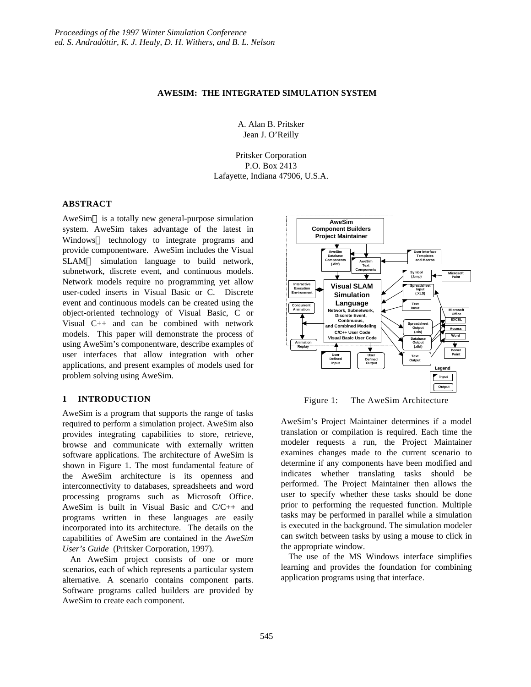## **AWESIM: THE INTEGRATED SIMULATION SYSTEM**

A. Alan B. Pritsker Jean J. O'Reilly

Pritsker Corporation P.O. Box 2413 Lafayette, Indiana 47906, U.S.A.

#### **ABSTRACT**

AweSim® is a totally new general-purpose simulation system. AweSim takes advantage of the latest in Windows<sup>®</sup> technology to integrate programs and provide componentware. AweSim includes the Visual SLAM<sup>®</sup> simulation language to build network, subnetwork, discrete event, and continuous models. Network models require no programming yet allow user-coded inserts in Visual Basic or C. Discrete event and continuous models can be created using the object-oriented technology of Visual Basic, C or Visual C++ and can be combined with network models. This paper will demonstrate the process of using AweSim's componentware, describe examples of user interfaces that allow integration with other applications, and present examples of models used for problem solving using AweSim.

#### **1 INTRODUCTION**

AweSim is a program that supports the range of tasks required to perform a simulation project. AweSim also provides integrating capabilities to store, retrieve, browse and communicate with externally written software applications. The architecture of AweSim is shown in Figure 1. The most fundamental feature of the AweSim architecture is its openness and interconnectivity to databases, spreadsheets and word processing programs such as Microsoft Office. AweSim is built in Visual Basic and C/C++ and programs written in these languages are easily incorporated into its architecture. The details on the capabilities of AweSim are contained in the *AweSim User's Guide* (Pritsker Corporation, 1997).

An AweSim project consists of one or more scenarios, each of which represents a particular system alternative. A scenario contains component parts. Software programs called builders are provided by AweSim to create each component.



Figure 1: The AweSim Architecture

AweSim's Project Maintainer determines if a model translation or compilation is required. Each time the modeler requests a run, the Project Maintainer examines changes made to the current scenario to determine if any components have been modified and indicates whether translating tasks should be performed. The Project Maintainer then allows the user to specify whether these tasks should be done prior to performing the requested function. Multiple tasks may be performed in parallel while a simulation is executed in the background. The simulation modeler can switch between tasks by using a mouse to click in the appropriate window.

The use of the MS Windows interface simplifies learning and provides the foundation for combining application programs using that interface.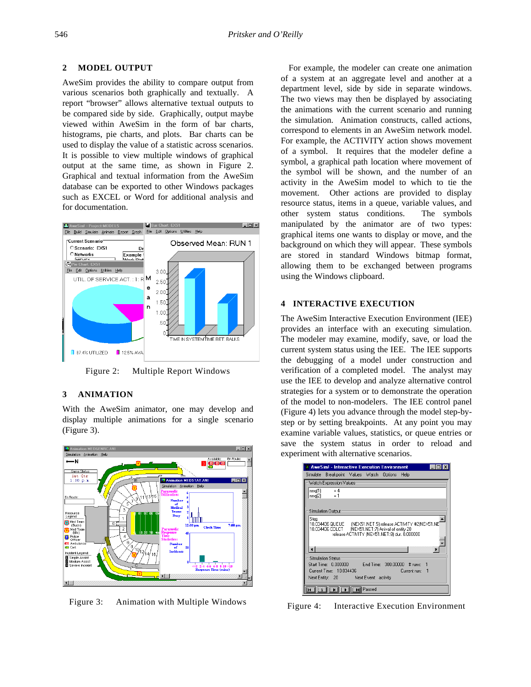#### **2 MODEL OUTPUT**

AweSim provides the ability to compare output from various scenarios both graphically and textually. A report "browser" allows alternative textual outputs to be compared side by side. Graphically, output maybe viewed within AweSim in the form of bar charts, histograms, pie charts, and plots. Bar charts can be used to display the value of a statistic across scenarios. It is possible to view multiple windows of graphical output at the same time, as shown in Figure 2. Graphical and textual information from the AweSim database can be exported to other Windows packages such as EXCEL or Word for additional analysis and for documentation.



Figure 2: Multiple Report Windows

# **3 ANIMATION**

With the AweSim animator, one may develop and display multiple animations for a single scenario (Figure 3).



Figure 3: Animation with Multiple Windows

For example, the modeler can create one animation of a system at an aggregate level and another at a department level, side by side in separate windows. The two views may then be displayed by associating the animations with the current scenario and running the simulation. Animation constructs, called actions, correspond to elements in an AweSim network model. For example, the ACTIVITY action shows movement of a symbol. It requires that the modeler define a symbol, a graphical path location where movement of the symbol will be shown, and the number of an activity in the AweSim model to which to tie the movement. Other actions are provided to display resource status, items in a queue, variable values, and other system status conditions. The symbols manipulated by the animator are of two types: graphical items one wants to display or move, and the background on which they will appear. These symbols are stored in standard Windows bitmap format, allowing them to be exchanged between programs using the Windows clipboard.

#### **4 INTERACTIVE EXECUTION**

The AweSim Interactive Execution Environment (IEE) provides an interface with an executing simulation. The modeler may examine, modify, save, or load the current system status using the IEE. The IEE supports the debugging of a model under construction and verification of a completed model. The analyst may use the IEE to develop and analyze alternative control strategies for a system or to demonstrate the operation of the model to non-modelers. The IEE control panel (Figure 4) lets you advance through the model step-bystep or by setting breakpoints. At any point you may examine variable values, statistics, or queue entries or save the system status in order to reload and experiment with alternative scenarios.

| AweSim! - Interactive Execution Environment                                                                |                                      |  |  |  |                               |  |
|------------------------------------------------------------------------------------------------------------|--------------------------------------|--|--|--|-------------------------------|--|
| <b>Simulate</b>                                                                                            | Breakpoint Values Watch Options Help |  |  |  |                               |  |
| Watch Expression Values                                                                                    |                                      |  |  |  |                               |  |
| nnq[1]                                                                                                     | $= 4$                                |  |  |  |                               |  |
| nnq[2]                                                                                                     | $=1$                                 |  |  |  |                               |  |
|                                                                                                            |                                      |  |  |  |                               |  |
| Simulation Output                                                                                          |                                      |  |  |  |                               |  |
| Step<br>10.034436 COLCT (NEX51.NET:7) Arrival of entity 20<br>release ACTIVITY (NEX51.NET:8) dur. 0.000000 |                                      |  |  |  |                               |  |
|                                                                                                            |                                      |  |  |  |                               |  |
|                                                                                                            | Simulation Status                    |  |  |  |                               |  |
|                                                                                                            | Start Time: 0.000000                 |  |  |  | End Time: 300,00000 # runs: 1 |  |
|                                                                                                            | Current Time: 10.034436              |  |  |  | Current run:                  |  |
|                                                                                                            | Next Entity: 20 Next Event: activity |  |  |  |                               |  |
|                                                                                                            | <b>EXPEDITED FOR Paused</b>          |  |  |  |                               |  |

Figure 4: Interactive Execution Environment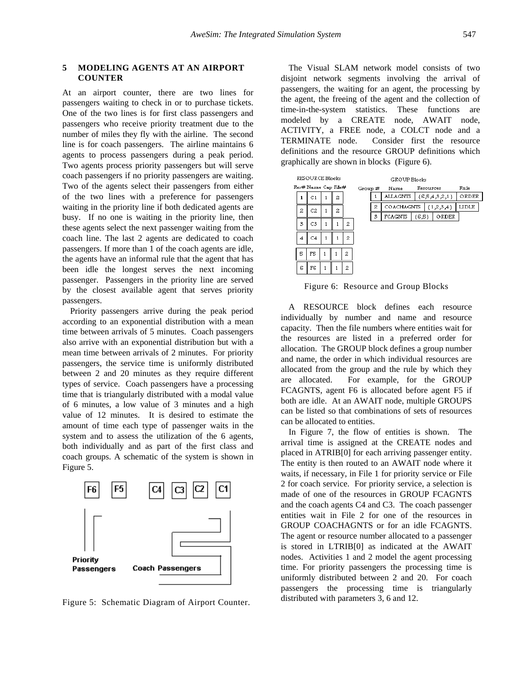# **5 MODELING AGENTS AT AN AIRPORT COUNTER**

At an airport counter, there are two lines for passengers waiting to check in or to purchase tickets. One of the two lines is for first class passengers and passengers who receive priority treatment due to the number of miles they fly with the airline. The second line is for coach passengers. The airline maintains 6 agents to process passengers during a peak period. Two agents process priority passengers but will serve coach passengers if no priority passengers are waiting. Two of the agents select their passengers from either of the two lines with a preference for passengers waiting in the priority line if both dedicated agents are busy. If no one is waiting in the priority line, then these agents select the next passenger waiting from the coach line. The last 2 agents are dedicated to coach passengers. If more than 1 of the coach agents are idle, the agents have an informal rule that the agent that has been idle the longest serves the next incoming passenger. Passengers in the priority line are served by the closest available agent that serves priority passengers.

Priority passengers arrive during the peak period according to an exponential distribution with a mean time between arrivals of 5 minutes. Coach passengers also arrive with an exponential distribution but with a mean time between arrivals of 2 minutes. For priority passengers, the service time is uniformly distributed between 2 and 20 minutes as they require different types of service. Coach passengers have a processing time that is triangularly distributed with a modal value of 6 minutes, a low value of 3 minutes and a high value of 12 minutes. It is desired to estimate the amount of time each type of passenger waits in the system and to assess the utilization of the 6 agents, both individually and as part of the first class and coach groups. A schematic of the system is shown in Figure 5.



Figure 5: Schematic Diagram of Airport Counter.

The Visual SLAM network model consists of two disjoint network segments involving the arrival of passengers, the waiting for an agent, the processing by the agent, the freeing of the agent and the collection of time-in-the-system statistics. These functions are modeled by a CREATE node, AWAIT node, ACTIVITY, a FREE node, a COLCT node and a TERMINATE node. Consider first the resource definitions and the resource GROUP definitions which graphically are shown in blocks (Figure 6).



Figure 6: Resource and Group Blocks

A RESOURCE block defines each resource individually by number and name and resource capacity. Then the file numbers where entities wait for the resources are listed in a preferred order for allocation. The GROUP block defines a group number and name, the order in which individual resources are allocated from the group and the rule by which they are allocated. For example, for the GROUP FCAGNTS, agent F6 is allocated before agent F5 if both are idle. At an AWAIT node, multiple GROUPS can be listed so that combinations of sets of resources can be allocated to entities.

In Figure 7, the flow of entities is shown. The arrival time is assigned at the CREATE nodes and placed in ATRIB[0] for each arriving passenger entity. The entity is then routed to an AWAIT node where it waits, if necessary, in File 1 for priority service or File 2 for coach service. For priority service, a selection is made of one of the resources in GROUP FCAGNTS and the coach agents C4 and C3. The coach passenger entities wait in File 2 for one of the resources in GROUP COACHAGNTS or for an idle FCAGNTS. The agent or resource number allocated to a passenger is stored in LTRIB[0] as indicated at the AWAIT nodes. Activities 1 and 2 model the agent processing time. For priority passengers the processing time is uniformly distributed between 2 and 20. For coach passengers the processing time is triangularly distributed with parameters 3, 6 and 12.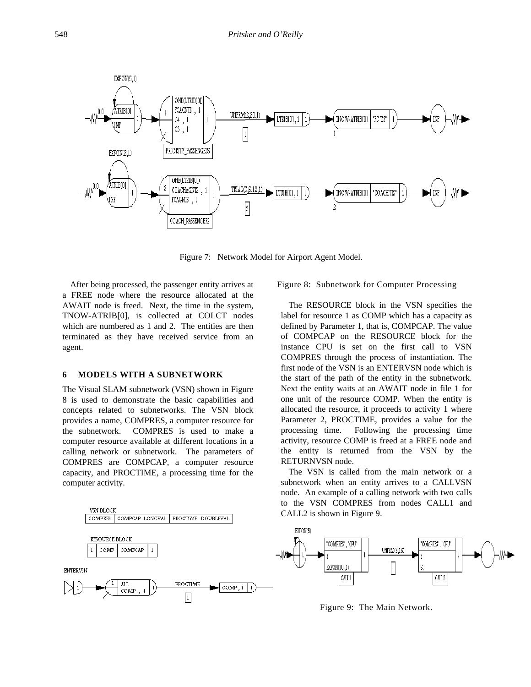

Figure 7: Network Model for Airport Agent Model.

After being processed, the passenger entity arrives at a FREE node where the resource allocated at the AWAIT node is freed. Next, the time in the system, TNOW-ATRIB[0], is collected at COLCT nodes which are numbered as 1 and 2. The entities are then terminated as they have received service from an agent.

## **6 MODELS WITH A SUBNETWORK**

The Visual SLAM subnetwork (VSN) shown in Figure 8 is used to demonstrate the basic capabilities and concepts related to subnetworks. The VSN block provides a name, COMPRES, a computer resource for the subnetwork. COMPRES is used to make a computer resource available at different locations in a calling network or subnetwork. The parameters of COMPRES are COMPCAP, a computer resource capacity, and PROCTIME, a processing time for the computer activity.



## Figure 8: Subnetwork for Computer Processing

The RESOURCE block in the VSN specifies the label for resource 1 as COMP which has a capacity as defined by Parameter 1, that is, COMPCAP. The value of COMPCAP on the RESOURCE block for the instance CPU is set on the first call to VSN COMPRES through the process of instantiation. The first node of the VSN is an ENTERVSN node which is the start of the path of the entity in the subnetwork. Next the entity waits at an AWAIT node in file 1 for one unit of the resource COMP. When the entity is allocated the resource, it proceeds to activity 1 where Parameter 2, PROCTIME, provides a value for the processing time. Following the processing time activity, resource COMP is freed at a FREE node and the entity is returned from the VSN by the RETURNVSN node.

The VSN is called from the main network or a subnetwork when an entity arrives to a CALLVSN node. An example of a calling network with two calls to the VSN COMPRES from nodes CALL1 and CALL2 is shown in Figure 9.



Figure 9: The Main Network.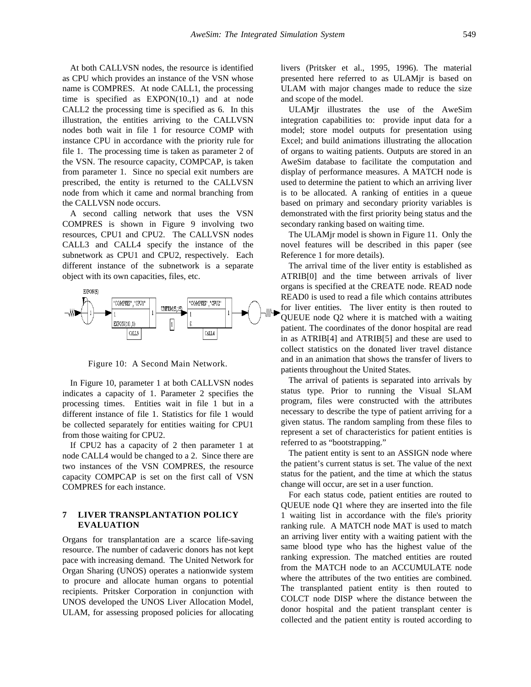At both CALLVSN nodes, the resource is identified as CPU which provides an instance of the VSN whose name is COMPRES. At node CALL1, the processing time is specified as EXPON(10.,1) and at node CALL2 the processing time is specified as 6. In this illustration, the entities arriving to the CALLVSN nodes both wait in file 1 for resource COMP with instance CPU in accordance with the priority rule for file 1. The processing time is taken as parameter 2 of the VSN. The resource capacity, COMPCAP, is taken from parameter 1. Since no special exit numbers are prescribed, the entity is returned to the CALLVSN node from which it came and normal branching from the CALLVSN node occurs.

A second calling network that uses the VSN COMPRES is shown in Figure 9 involving two resources, CPU1 and CPU2. The CALLVSN nodes CALL3 and CALL4 specify the instance of the subnetwork as CPU1 and CPU2, respectively. Each different instance of the subnetwork is a separate object with its own capacities, files, etc.



Figure 10: A Second Main Network.

In Figure 10, parameter 1 at both CALLVSN nodes indicates a capacity of 1. Parameter 2 specifies the processing times. Entities wait in file 1 but in a different instance of file 1. Statistics for file 1 would be collected separately for entities waiting for CPU1 from those waiting for CPU2.

If CPU2 has a capacity of 2 then parameter 1 at node CALL4 would be changed to a 2. Since there are two instances of the VSN COMPRES, the resource capacity COMPCAP is set on the first call of VSN COMPRES for each instance.

# **7 LIVER TRANSPLANTATION POLICY EVALUATION**

Organs for transplantation are a scarce life-saving resource. The number of cadaveric donors has not kept pace with increasing demand. The United Network for Organ Sharing (UNOS) operates a nationwide system to procure and allocate human organs to potential recipients. Pritsker Corporation in conjunction with UNOS developed the UNOS Liver Allocation Model, ULAM, for assessing proposed policies for allocating livers (Pritsker et al., 1995, 1996). The material presented here referred to as ULAMjr is based on ULAM with major changes made to reduce the size and scope of the model.

ULAMjr illustrates the use of the AweSim integration capabilities to: provide input data for a model; store model outputs for presentation using Excel; and build animations illustrating the allocation of organs to waiting patients. Outputs are stored in an AweSim database to facilitate the computation and display of performance measures. A MATCH node is used to determine the patient to which an arriving liver is to be allocated. A ranking of entities in a queue based on primary and secondary priority variables is demonstrated with the first priority being status and the secondary ranking based on waiting time.

The ULAMjr model is shown in Figure 11. Only the novel features will be described in this paper (see Reference 1 for more details).

The arrival time of the liver entity is established as ATRIB[0] and the time between arrivals of liver organs is specified at the CREATE node. READ node READ0 is used to read a file which contains attributes for liver entities. The liver entity is then routed to QUEUE node Q2 where it is matched with a waiting patient. The coordinates of the donor hospital are read in as ATRIB[4] and ATRIB[5] and these are used to collect statistics on the donated liver travel distance and in an animation that shows the transfer of livers to patients throughout the United States.

The arrival of patients is separated into arrivals by status type. Prior to running the Visual SLAM program, files were constructed with the attributes necessary to describe the type of patient arriving for a given status. The random sampling from these files to represent a set of characteristics for patient entities is referred to as "bootstrapping."

The patient entity is sent to an ASSIGN node where the patient's current status is set. The value of the next status for the patient, and the time at which the status change will occur, are set in a user function.

For each status code, patient entities are routed to QUEUE node Q1 where they are inserted into the file 1 waiting list in accordance with the file's priority ranking rule. A MATCH node MAT is used to match an arriving liver entity with a waiting patient with the same blood type who has the highest value of the ranking expression. The matched entities are routed from the MATCH node to an ACCUMULATE node where the attributes of the two entities are combined. The transplanted patient entity is then routed to COLCT node DISP where the distance between the donor hospital and the patient transplant center is collected and the patient entity is routed according to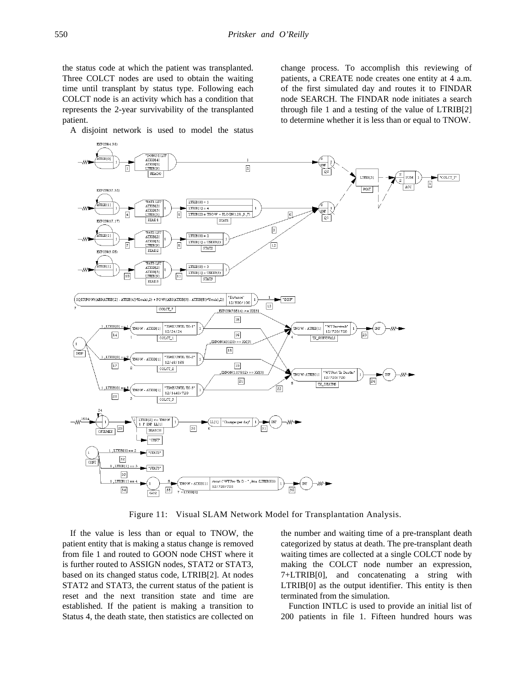the status code at which the patient was transplanted. Three COLCT nodes are used to obtain the waiting time until transplant by status type. Following each COLCT node is an activity which has a condition that represents the 2-year survivability of the transplanted patient.

A disjoint network is used to model the status

change process. To accomplish this reviewing of patients, a CREATE node creates one entity at 4 a.m. of the first simulated day and routes it to FINDAR node SEARCH. The FINDAR node initiates a search through file 1 and a testing of the value of LTRIB[2] to determine whether it is less than or equal to TNOW.



Figure 11: Visual SLAM Network Model for Transplantation Analysis.

If the value is less than or equal to TNOW, the patient entity that is making a status change is removed from file 1 and routed to GOON node CHST where it is further routed to ASSIGN nodes, STAT2 or STAT3, based on its changed status code, LTRIB[2]. At nodes STAT2 and STAT3, the current status of the patient is reset and the next transition state and time are established. If the patient is making a transition to Status 4, the death state, then statistics are collected on the number and waiting time of a pre-transplant death categorized by status at death. The pre-transplant death waiting times are collected at a single COLCT node by making the COLCT node number an expression, 7+LTRIB[0], and concatenating a string with LTRIB[0] as the output identifier. This entity is then terminated from the simulation.

Function INTLC is used to provide an initial list of 200 patients in file 1. Fifteen hundred hours was